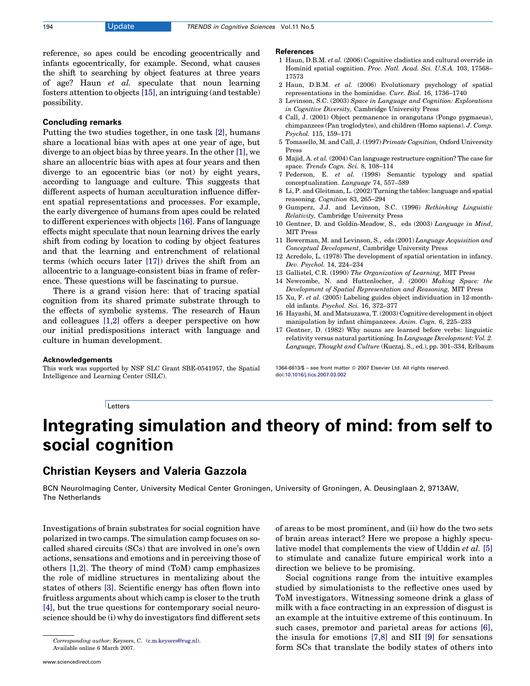reference, so apes could be encoding geocentrically and infants egocentrically, for example. Second, what causes the shift to searching by object features at three years of age? Haun et al. speculate that noun learning fosters attention to objects [15], an intriguing (and testable) possibility.

### Concluding remarks

Putting the two studies together, in one task [2], humans share a locational bias with apes at one year of age, but diverge to an object bias by three years. In the other [1], we share an allocentric bias with apes at four years and then diverge to an egocentric bias (or not) by eight years, according to language and culture. This suggests that different aspects of human acculturation influence different spatial representations and processes. For example, the early divergence of humans from apes could be related to different experiences with objects [16]. Fans of language effects might speculate that noun learning drives the early shift from coding by location to coding by object features and that the learning and entrenchment of relational terms (which occurs later [17]) drives the shift from an allocentric to a language-consistent bias in frame of reference. These questions will be fascinating to pursue.

There is a grand vision here: that of tracing spatial cognition from its shared primate substrate through to the effects of symbolic systems. The research of Haun and colleagues [1,2] offers a deeper perspective on how our initial predispositions interact with language and culture in human development.

### Acknowledgements

This work was supported by NSF SLC Grant SBE-0541957, the Spatial Intelligence and Learning Center (SILC).

### References

- 1 Haun, D.B.M. et al. (2006) Cognitive cladistics and cultural override in Hominid spatial cognition. Proc. Natl. Acad. Sci. U.S.A. 103, 17568– 17573
- 2 Haun, D.B.M. et al. (2006) Evolutionary psychology of spatial representations in the hominidae. Curr. Biol. 16, 1736–1740
- 3 Levinson, S.C. (2003) Space in Language and Cognition: Explorations in Cognitive Diversity, Cambridge University Press
- 4 Call, J. (2001) Object permanence in orangutans (Pongo pygmaeus), chimpanzees (Pan troglodytes), and children (Homo sapiens). J. Comp. Psychol. 115, 159–171
- 5 Tomasello, M. and Call, J. (1997) Primate Cognition, Oxford University Press
- 6 Majid, A. et al. (2004) Can language restructure cognition? The case for space. Trends Cogn. Sci. 8, 108–114
- 7 Pederson, E. et al. (1998) Semantic typology and spatial conceptualization. Language 74, 557–589
- 8 Li, P. and Gleitman, L. (2002) Turning the tables: language and spatial reasoning. Cognition 83, 265–294
- 9 Gumperz, J.J. and Levinson, S.C. (1996) Rethinking Linguistic Relativity, Cambridge University Press
- 10 Gentner, D. and Goldin-Meadow, S., eds (2003) Language in Mind, MIT Press
- 11 Bowerman, M. and Levinson, S., eds (2001) Language Acquisition and Conceptual Development, Cambridge University Press
- 12 Acredolo, L. (1978) The development of spatial orientation in infancy. Dev. Psychol. 14, 224–234
- 13 Gallistel, C.R. (1990) The Organization of Learning, MIT Press
- 14 Newcombe, N. and Huttenlocher, J. (2000) Making Space: the Development of Spatial Representation and Reasoning, MIT Press
- 15 Xu, F. et al. (2005) Labeling guides object individuation in 12-monthold infants. Psychol. Sci. 16, 372–377
- 16 Hayashi, M. and Matsuzawa, T. (2003) Cognitive development in object manipulation by infant chimpanzees. Anim. Cogn. 6, 225–233
- 17 Gentner, D. (1982) Why nouns are learned before verbs: linguistic relativity versus natural partitioning. In Language Development: Vol. 2. Language, Thought and Culture (Kuczaj, S., ed.), pp. 301–334, Erlbaum

1364-6613/\$ - see front matter © 2007 Elsevier Ltd. All rights reserved. doi[:10.1016/j.tics.2007.03.002](http://dx.doi.org/10.1016/j.tics.2007.03.002)

**Letters** 

# Integrating simulation and theory of mind: from self to social cognition

## Christian Keysers and Valeria Gazzola

BCN NeuroImaging Center, University Medical Center Groningen, University of Groningen, A. Deusinglaan 2, 9713AW, The Netherlands

Investigations of brain substrates for social cognition have polarized in two camps. The simulation camp focuses on socalled shared circuits (SCs) that are involved in one's own actions, sensations and emotions and in perceiving those of others [1,2]. The theory of mind (ToM) camp emphasizes the role of midline structures in mentalizing about the states of others [\[3\].](#page-2-0) Scientific energy has often flown into fruitless arguments about which camp is closer to the truth [\[4\],](#page-2-0) but the true questions for contemporary social neuroscience should be (i) why do investigators find different sets

Corresponding author: Keysers, C. [\(c.m.keysers@rug.nl](mailto:c.m.keysers@rug.nl)). Available online 6 March 2007.

of areas to be most prominent, and (ii) how do the two sets of brain areas interact? Here we propose a highly specu-lative model that complements the view of Uddin et al. [\[5\]](#page-2-0) to stimulate and canalize future empirical work into a direction we believe to be promising.

Social cognitions range from the intuitive examples studied by simulationists to the reflective ones used by ToM investigators. Witnessing someone drink a glass of milk with a face contracting in an expression of disgust is an example at the intuitive extreme of this continuum. In such cases, premotor and parietal areas for actions [\[6\]](#page-2-0), the insula for emotions [7,8] and SII [\[9\]](#page-2-0) for sensations form SCs that translate the bodily states of others into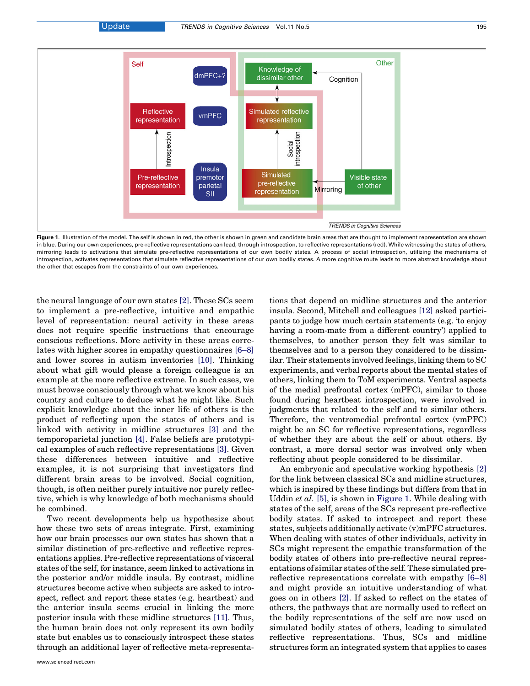



Figure 1. Illustration of the model. The self is shown in red, the other is shown in green and candidate brain areas that are thought to implement representation are shown in blue. During our own experiences, pre-reflective representations can lead, through introspection, to reflective representations (red). While witnessing the states of others, mirroring leads to activations that simulate pre-reflective representations of our own bodily states. A process of social introspection, utilizing the mechanisms of introspection, activates representations that simulate reflective representations of our own bodily states. A more cognitive route leads to more abstract knowledge about the other that escapes from the constraints of our own experiences.

the neural language of our own states [\[2\]](#page-2-0). These SCs seem to implement a pre-reflective, intuitive and empathic level of representation: neural activity in these areas does not require specific instructions that encourage conscious reflections. More activity in these areas correlates with higher scores in empathy questionnaires [6–8] and lower scores in autism inventories [\[10\].](#page-2-0) Thinking about what gift would please a foreign colleague is an example at the more reflective extreme. In such cases, we must browse consciously through what we know about his country and culture to deduce what he might like. Such explicit knowledge about the inner life of others is the product of reflecting upon the states of others and is linked with activity in midline structures [\[3\]](#page-2-0) and the temporoparietal junction [\[4\].](#page-2-0) False beliefs are prototypical examples of such reflective representations [\[3\]](#page-2-0). Given these differences between intuitive and reflective examples, it is not surprising that investigators find different brain areas to be involved. Social cognition, though, is often neither purely intuitive nor purely reflective, which is why knowledge of both mechanisms should be combined.

Two recent developments help us hypothesize about how these two sets of areas integrate. First, examining how our brain processes our own states has shown that a similar distinction of pre-reflective and reflective representations applies. Pre-reflective representations of visceral states of the self, for instance, seem linked to activations in the posterior and/or middle insula. By contrast, midline structures become active when subjects are asked to introspect, reflect and report these states (e.g. heartbeat) and the anterior insula seems crucial in linking the more posterior insula with these midline structures [\[11\]](#page-2-0). Thus, the human brain does not only represent its own bodily state but enables us to consciously introspect these states through an additional layer of reflective meta-representa-

tions that depend on midline structures and the anterior insula. Second, Mitchell and colleagues [\[12\]](#page-2-0) asked participants to judge how much certain statements (e.g. 'to enjoy having a room-mate from a different country') applied to themselves, to another person they felt was similar to themselves and to a person they considered to be dissimilar. Their statements involved feelings, linking them to SC experiments, and verbal reports about the mental states of others, linking them to ToM experiments. Ventral aspects of the medial prefrontal cortex (mPFC), similar to those found during heartbeat introspection, were involved in judgments that related to the self and to similar others. Therefore, the ventromedial prefrontal cortex (vmPFC) might be an SC for reflective representations, regardless of whether they are about the self or about others. By contrast, a more dorsal sector was involved only when reflecting about people considered to be dissimilar.

An embryonic and speculative working hypothesis [\[2\]](#page-2-0) for the link between classical SCs and midline structures, which is inspired by these findings but differs from that in Uddin et al. [\[5\],](#page-2-0) is shown in Figure 1. While dealing with states of the self, areas of the SCs represent pre-reflective bodily states. If asked to introspect and report these states, subjects additionally activate (v)mPFC structures. When dealing with states of other individuals, activity in SCs might represent the empathic transformation of the bodily states of others into pre-reflective neural representations of similar states of the self. These simulated prereflective representations correlate with empathy [6–8] and might provide an intuitive understanding of what goes on in others [\[2\].](#page-2-0) If asked to reflect on the states of others, the pathways that are normally used to reflect on the bodily representations of the self are now used on simulated bodily states of others, leading to simulated reflective representations. Thus, SCs and midline structures form an integrated system that applies to cases